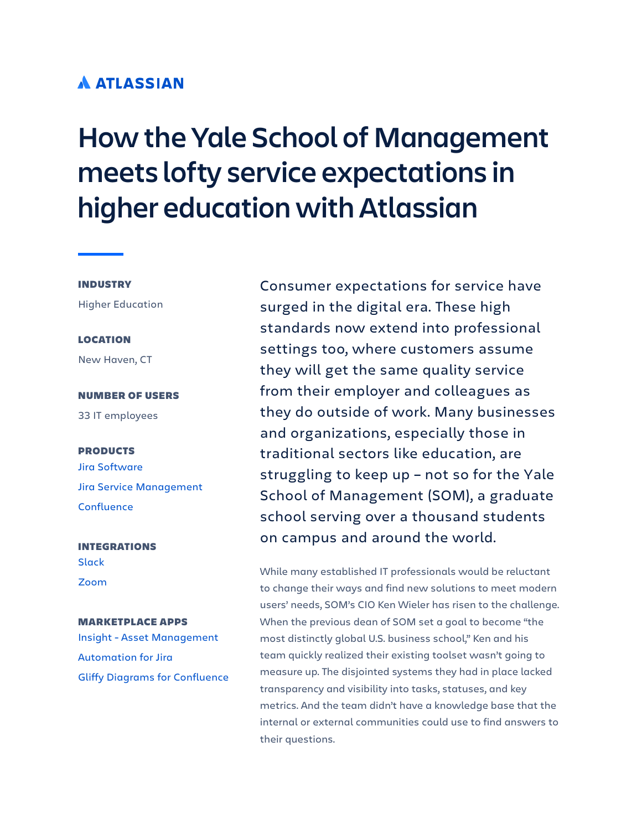# **A ATLASSIAN**

# **How the Yale School of Management meets lofty service expectations in higher education with Atlassian**

### INDUSTRY

Higher Education

### LOCATION

New Haven, CT

# NUMBER OF USERS

33 IT employees

### PRODUCTS

[Jira Software](https://www.atlassian.com/software/jira) [Jira Service Management](https://www.atlassian.com/software/jira/service-management) **[Confluence](https://www.atlassian.com/software/confluence)** 

## INTEGRATIONS **[Slack](https://marketplace.atlassian.com/apps/1220099/jira-server-for-slack-official?hosting=datacenter&tab=overview)** [Zoom](https://marketplace.atlassian.com/apps/1219847/zoom-for-jira-service-desk?tab=overview&hosting=cloud)

### MARKETPLACE APPS

[Insight - Asset Management](https://marketplace.atlassian.com/apps/1212137/insight-asset-management?hosting=cloud&tab=overview)  [Automation for Jira](https://marketplace.atlassian.com/apps/1215460/automation-for-jira-server?tab=overview&hosting=cloud) [Gliffy Diagrams for Confluence](https://marketplace.atlassian.com/apps/254/gliffy-diagrams-for-confluence?hosting=cloud&tab=overview)

Consumer expectations for service have surged in the digital era. These high standards now extend into professional settings too, where customers assume they will get the same quality service from their employer and colleagues as they do outside of work. Many businesses and organizations, especially those in traditional sectors like education, are struggling to keep up – not so for the Yale School of Management (SOM), a graduate school serving over a thousand students on campus and around the world.

While many established IT professionals would be reluctant to change their ways and find new solutions to meet modern users' needs, SOM's CIO Ken Wieler has risen to the challenge. When the previous dean of SOM set a goal to become "the most distinctly global U.S. business school," Ken and his team quickly realized their existing toolset wasn't going to measure up. The disjointed systems they had in place lacked transparency and visibility into tasks, statuses, and key metrics. And the team didn't have a knowledge base that the internal or external communities could use to find answers to their questions.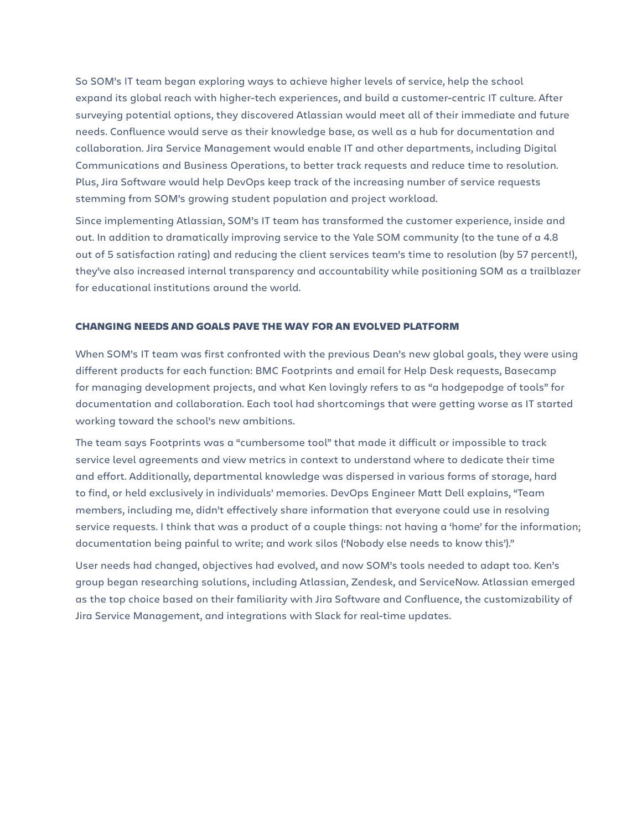So SOM's IT team began exploring ways to achieve higher levels of service, help the school expand its global reach with higher-tech experiences, and build a customer-centric IT culture. After surveying potential options, they discovered Atlassian would meet all of their immediate and future needs. Confluence would serve as their knowledge base, as well as a hub for documentation and collaboration. Jira Service Management would enable IT and other departments, including Digital Communications and Business Operations, to better track requests and reduce time to resolution. Plus, Jira Software would help DevOps keep track of the increasing number of service requests stemming from SOM's growing student population and project workload.

Since implementing Atlassian, SOM's IT team has transformed the customer experience, inside and out. In addition to dramatically improving service to the Yale SOM community (to the tune of a 4.8 out of 5 satisfaction rating) and reducing the client services team's time to resolution (by 57 percent!), they've also increased internal transparency and accountability while positioning SOM as a trailblazer for educational institutions around the world.

### CHANGING NEEDS AND GOALS PAVE THE WAY FOR AN EVOLVED PLATFORM

When SOM's IT team was first confronted with the previous Dean's new global goals, they were using different products for each function: BMC Footprints and email for Help Desk requests, Basecamp for managing development projects, and what Ken lovingly refers to as "a hodgepodge of tools" for documentation and collaboration. Each tool had shortcomings that were getting worse as IT started working toward the school's new ambitions.

The team says Footprints was a "cumbersome tool" that made it difficult or impossible to track service level agreements and view metrics in context to understand where to dedicate their time and effort. Additionally, departmental knowledge was dispersed in various forms of storage, hard to find, or held exclusively in individuals' memories. DevOps Engineer Matt Dell explains, "Team members, including me, didn't effectively share information that everyone could use in resolving service requests. I think that was a product of a couple things: not having a 'home' for the information; documentation being painful to write; and work silos ('Nobody else needs to know this')."

User needs had changed, objectives had evolved, and now SOM's tools needed to adapt too. Ken's group began researching solutions, including Atlassian, Zendesk, and ServiceNow. Atlassian emerged as the top choice based on their familiarity with Jira Software and Confluence, the customizability of Jira Service Management, and integrations with Slack for real-time updates.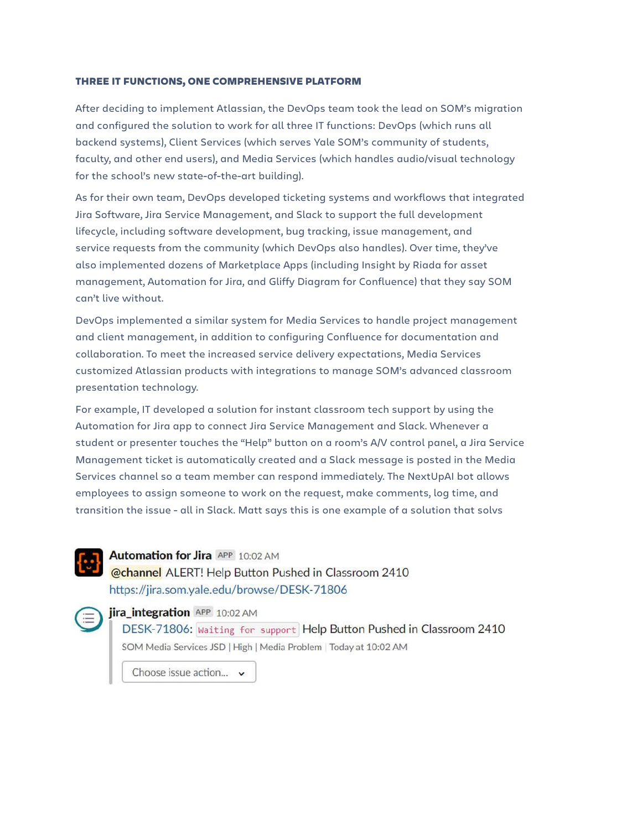### THREE IT FUNCTIONS, ONE COMPREHENSIVE PLATFORM

After deciding to implement Atlassian, the DevOps team took the lead on SOM's migration and configured the solution to work for all three IT functions: DevOps (which runs all backend systems), Client Services (which serves Yale SOM's community of students, faculty, and other end users), and Media Services (which handles audio/visual technology for the school's new state-of-the-art building).

As for their own team, DevOps developed ticketing systems and workflows that integrated Jira Software, Jira Service Management, and Slack to support the full development lifecycle, including software development, bug tracking, issue management, and service requests from the community (which DevOps also handles). Over time, they've also implemented dozens of Marketplace Apps (including Insight by Riada for asset management, Automation for Jira, and Gliffy Diagram for Confluence) that they say SOM can't live without.

DevOps implemented a similar system for Media Services to handle project management and client management, in addition to configuring Confluence for documentation and collaboration. To meet the increased service delivery expectations, Media Services customized Atlassian products with integrations to manage SOM's advanced classroom presentation technology.

For example, IT developed a solution for instant classroom tech support by using the Automation for Jira app to connect Jira Service Management and Slack. Whenever a student or presenter touches the "Help" button on a room's A/V control panel, a Jira Service Management ticket is automatically created and a Slack message is posted in the Media Services channel so a team member can respond immediately. The NextUpAI bot allows employees to assign someone to work on the request, make comments, log time, and transition the issue - all in Slack. Matt says this is one example of a solution that solvs



## **Automation for Jira APP 10:02 AM** @channel ALERT! Help Button Pushed in Classroom 2410 https://jira.som.yale.edu/browse/DESK-71806

### **iira integration** APP 10:02 AM

DESK-71806: Waiting for support Help Button Pushed in Classroom 2410 SOM Media Services JSD | High | Media Problem | Today at 10:02 AM

Choose issue action... v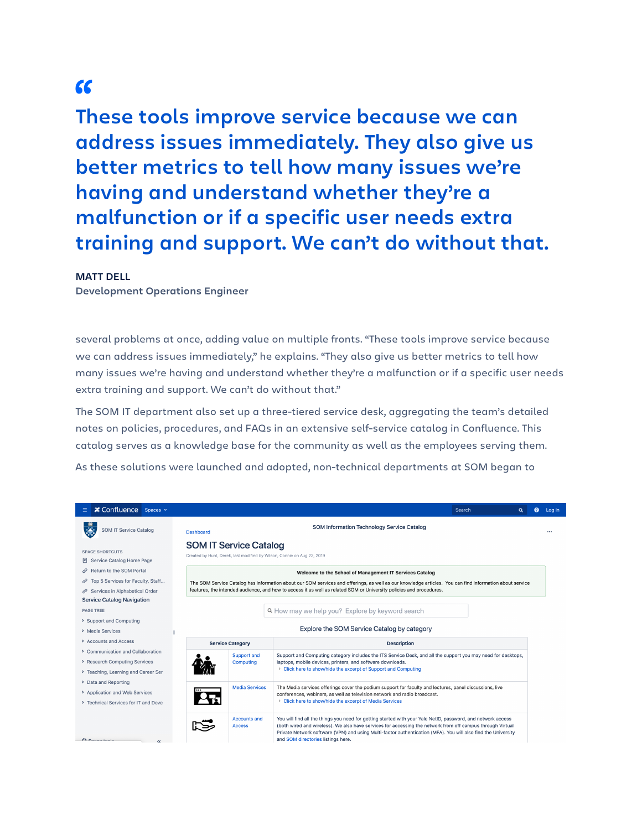**These tools improve service because we can**  "**address issues immediately. They also give us better metrics to tell how many issues we're having and understand whether they're a malfunction or if a specific user needs extra training and support. We can't do without that.**

### **MATT DELL**

**Development Operations Engineer**

several problems at once, adding value on multiple fronts. "These tools improve service because we can address issues immediately," he explains. "They also give us better metrics to tell how many issues we're having and understand whether they're a malfunction or if a specific user needs extra training and support. We can't do without that."

The SOM IT department also set up a three-tiered service desk, aggregating the team's detailed notes on policies, procedures, and FAQs in an extensive self-service catalog in Confluence. This catalog serves as a knowledge base for the community as well as the employees serving them.

As these solutions were launched and adopted, non-technical departments at SOM began to

| <b>≭ Confluence</b> Spaces v                          |                                                                                                                                                                                                                                                                                                                                                                                                                           |                               |                                                                                                                                                                                                                                              | Search | Q | Q | Log in |
|-------------------------------------------------------|---------------------------------------------------------------------------------------------------------------------------------------------------------------------------------------------------------------------------------------------------------------------------------------------------------------------------------------------------------------------------------------------------------------------------|-------------------------------|----------------------------------------------------------------------------------------------------------------------------------------------------------------------------------------------------------------------------------------------|--------|---|---|--------|
| <b>SOM IT Service Catalog</b>                         | SOM Information Technology Service Catalog<br><b>Dashboard</b>                                                                                                                                                                                                                                                                                                                                                            |                               |                                                                                                                                                                                                                                              |        |   |   |        |
| <b>SPACE SHORTCUTS</b><br>同 Service Catalog Home Page |                                                                                                                                                                                                                                                                                                                                                                                                                           | <b>SOM IT Service Catalog</b> | Created by Hunt, Derek, last modified by Wilson, Connie on Aug 23, 2019                                                                                                                                                                      |        |   |   |        |
| Return to the SOM Portal                              | Welcome to the School of Management IT Services Catalog<br>The SOM Service Catalog has information about our SOM services and offerings, as well as our knowledge articles. You can find information about service                                                                                                                                                                                                        |                               |                                                                                                                                                                                                                                              |        |   |   |        |
| Top 5 Services for Faculty, Staff<br>c                |                                                                                                                                                                                                                                                                                                                                                                                                                           |                               |                                                                                                                                                                                                                                              |        |   |   |        |
| Services in Alphabetical Order                        |                                                                                                                                                                                                                                                                                                                                                                                                                           |                               | features, the intended audience, and how to access it as well as related SOM or University policies and procedures.                                                                                                                          |        |   |   |        |
| <b>Service Catalog Navigation</b>                     |                                                                                                                                                                                                                                                                                                                                                                                                                           |                               |                                                                                                                                                                                                                                              |        |   |   |        |
| <b>PAGE TREE</b>                                      |                                                                                                                                                                                                                                                                                                                                                                                                                           |                               | Q How may we help you? Explore by keyword search                                                                                                                                                                                             |        |   |   |        |
| > Support and Computing                               |                                                                                                                                                                                                                                                                                                                                                                                                                           |                               |                                                                                                                                                                                                                                              |        |   |   |        |
| > Media Services                                      |                                                                                                                                                                                                                                                                                                                                                                                                                           |                               | Explore the SOM Service Catalog by category                                                                                                                                                                                                  |        |   |   |        |
| > Accounts and Access                                 | <b>Service Category</b>                                                                                                                                                                                                                                                                                                                                                                                                   |                               | <b>Description</b>                                                                                                                                                                                                                           |        |   |   |        |
| > Communication and Collaboration                     |                                                                                                                                                                                                                                                                                                                                                                                                                           | <b>Support and</b>            | Support and Computing category includes the ITS Service Desk, and all the support you may need for desktops,<br>laptops, mobile devices, printers, and software downloads.<br>> Click here to show/hide the excerpt of Support and Computing |        |   |   |        |
| > Research Computing Services                         |                                                                                                                                                                                                                                                                                                                                                                                                                           | Computing                     |                                                                                                                                                                                                                                              |        |   |   |        |
| > Teaching, Learning and Career Ser                   |                                                                                                                                                                                                                                                                                                                                                                                                                           |                               |                                                                                                                                                                                                                                              |        |   |   |        |
| > Data and Reporting                                  |                                                                                                                                                                                                                                                                                                                                                                                                                           | <b>Media Services</b>         | The Media services offerings cover the podium support for faculty and lectures, panel discussions, live                                                                                                                                      |        |   |   |        |
| > Application and Web Services                        |                                                                                                                                                                                                                                                                                                                                                                                                                           |                               | conferences, webinars, as well as television network and radio broadcast.                                                                                                                                                                    |        |   |   |        |
| > Technical Services for IT and Deve                  |                                                                                                                                                                                                                                                                                                                                                                                                                           |                               | > Click here to show/hide the excerpt of Media Services                                                                                                                                                                                      |        |   |   |        |
| A Cannatonia<br>$\epsilon$                            | You will find all the things you need for getting started with your Yale NetID, password, and network access<br><b>Accounts and</b><br>(both wired and wireless). We also have services for accessing the network from off campus through Virtual<br><b>Access</b><br>Private Network software (VPN) and using Multi-factor authentication (MFA). You will also find the University<br>and SOM directories listings here. |                               |                                                                                                                                                                                                                                              |        |   |   |        |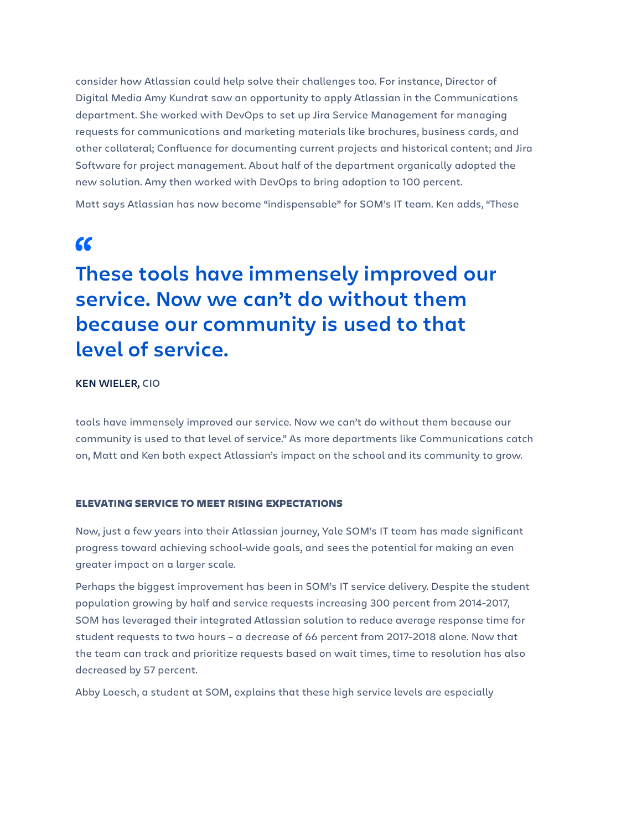consider how Atlassian could help solve their challenges too. For instance, Director of Digital Media Amy Kundrat saw an opportunity to apply Atlassian in the Communications department. She worked with DevOps to set up Jira Service Management for managing requests for communications and marketing materials like brochures, business cards, and other collateral; Confluence for documenting current projects and historical content; and Jira Software for project management. About half of the department organically adopted the new solution. Amy then worked with DevOps to bring adoption to 100 percent.

Matt says Atlassian has now become "indispensable" for SOM's IT team. Ken adds, "These

# **These tools have immensely improved our**  "**service. Now we can't do without them because our community is used to that level of service.**

### **KEN WIELER, CIO**

tools have immensely improved our service. Now we can't do without them because our community is used to that level of service." As more departments like Communications catch on, Matt and Ken both expect Atlassian's impact on the school and its community to grow.

### ELEVATING SERVICE TO MEET RISING EXPECTATIONS

Now, just a few years into their Atlassian journey, Yale SOM's IT team has made significant progress toward achieving school-wide goals, and sees the potential for making an even greater impact on a larger scale.

Perhaps the biggest improvement has been in SOM's IT service delivery. Despite the student population growing by half and service requests increasing 300 percent from 2014-2017, SOM has leveraged their integrated Atlassian solution to reduce average response time for student requests to two hours – a decrease of 66 percent from 2017-2018 alone. Now that the team can track and prioritize requests based on wait times, time to resolution has also decreased by 57 percent.

Abby Loesch, a student at SOM, explains that these high service levels are especially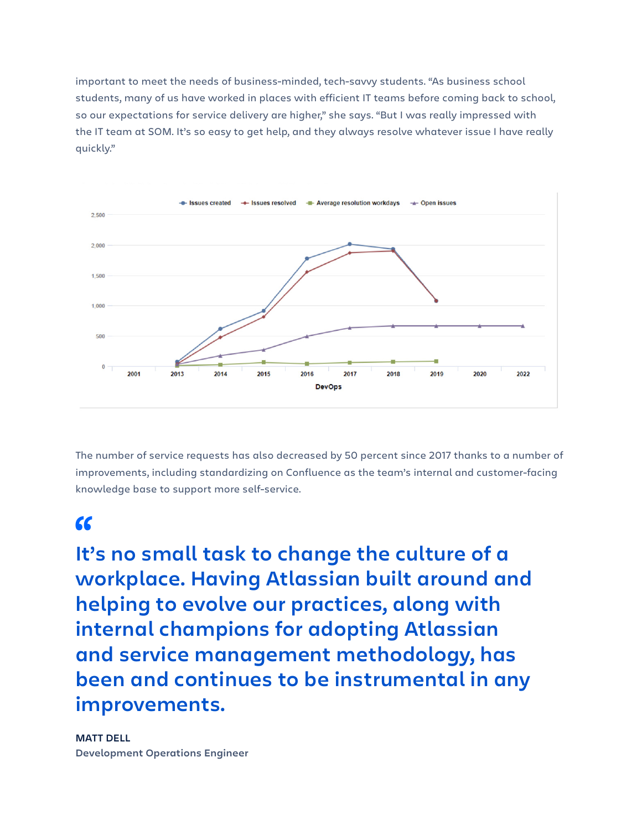important to meet the needs of business-minded, tech-savvy students. "As business school students, many of us have worked in places with efficient IT teams before coming back to school, so our expectations for service delivery are higher," she says. "But I was really impressed with the IT team at SOM. It's so easy to get help, and they always resolve whatever issue I have really quickly."



The number of service requests has also decreased by 50 percent since 2017 thanks to a number of improvements, including standardizing on Confluence as the team's internal and customer-facing knowledge base to support more self-service.

**It's no small task to change the culture of a**  "**workplace. Having Atlassian built around and helping to evolve our practices, along with internal champions for adopting Atlassian and service management methodology, has been and continues to be instrumental in any improvements.**

## **MATT DELL**

**Development Operations Engineer**